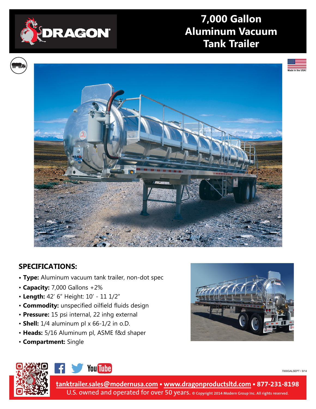

## **7,000 Gallon Aluminum Vacuum Tank Trailer**



## **Specifications:**

- **Type:** Aluminum vacuum tank trailer, non-dot spec
- **Capacity:** 7,000 Gallons +2%
- **Length:** 42' 6" Height: 10' 11 1/2"
- **Commodity:** unspecified oilfield fluids design
- **Pressure:** 15 psi internal, 22 inhg external
- **Shell:** 1/4 aluminum pl x 66-1/2 in o.D.
- **Heads:** 5/16 Aluminum pl, ASME f&d shaper
- **Compartment:** Single







7000galsept • 9/14

**tanktrailer.sale[s@modernusa.com](mailto:tanktrailer.sales%40modernusa.com?subject=I%20need%20more%20information%20on%20LPG%20Transport.) • [www.dragonproductsltd.com](http://www.dragonproductsltd.com) • 877-231-8198** U.S. owned and operated for over 50 years. © Copyright 2014 Modern Group Inc. All rights reserved.